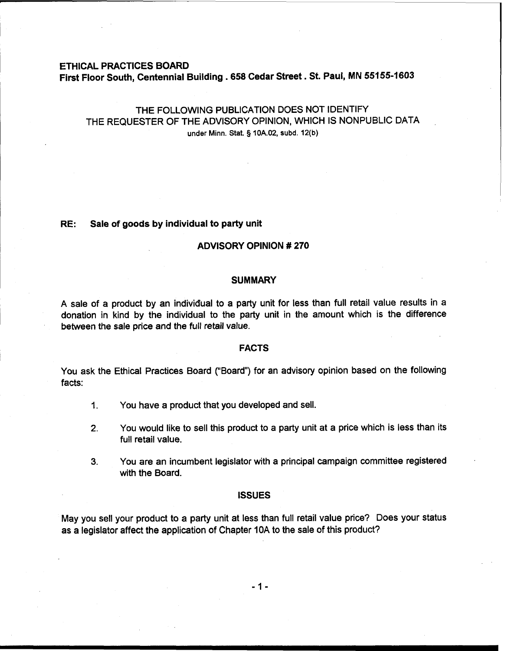### **ETHICAL PRACTICES BOARD**

**First Floor South, Centennial Building .658 Cedar Street. St. Paul, MN 55155-1603** 

# THE FOLLOWING PUBLICATION DOES NOT IDENTIFY THE REQUESTER OF THE ADVISORY OPINION, WHICH IS NONPUBLIC DATA **under Minn.** Stat. **9 10A.02, subd. 12(b)**

### **RE: Sale of goods by individual to party unit**

## **ADVISORY OPINION** # **270**

# **SUMMARY**

A sale of a product by an individual to a party unit for less than full retail value results in a donation in kind by the individual to the party unit in the amount which is the difference between the sale price and the full retail value.

#### **FACTS**

You ask the Ethical Practices Board ("Board") for an advisory opinion based on the following facts:

- 1. You have a product that you developed and sell.
- **2.** You would like to sell this product to a party unit at a price which is less than its full retail value.
- **3.** You are an incumbent legislator with a principal campaign committee registered with the Board.

#### **ISSUES**

May you sell your product to a party unit at less than full retail value price? Does your status as a legislator affect the application of Chapter 10A to the sale of this product?